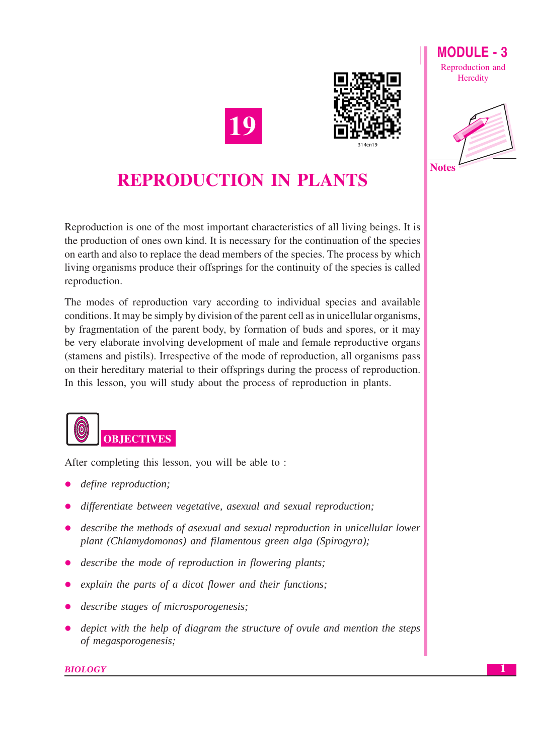

**Notes** 





## **REPRODUCTION IN PLANTS**

Reproduction is one of the most important characteristics of all living beings. It is the production of ones own kind. It is necessary for the continuation of the species on earth and also to replace the dead members of the species. The process by which living organisms produce their offsprings for the continuity of the species is called reproduction.

The modes of reproduction vary according to individual species and available conditions. It may be simply by division of the parent cell as in unicellular organisms, by fragmentation of the parent body, by formation of buds and spores, or it may be very elaborate involving development of male and female reproductive organs (stamens and pistils). Irrespective of the mode of reproduction, all organisms pass on their hereditary material to their offsprings during the process of reproduction. In this lesson, you will study about the process of reproduction in plants.



After completing this lesson, you will be able to:

- define reproduction;
- differentiate between vegetative, asexual and sexual reproduction;
- describe the methods of asexual and sexual reproduction in unicellular lower plant (Chlamydomonas) and filamentous green alga (Spirogyra);
- describe the mode of reproduction in flowering plants;
- explain the parts of a dicot flower and their functions;
- describe stages of microsporogenesis;
- depict with the help of diagram the structure of ovule and mention the steps of megasporogenesis;

## **BIOLOGY**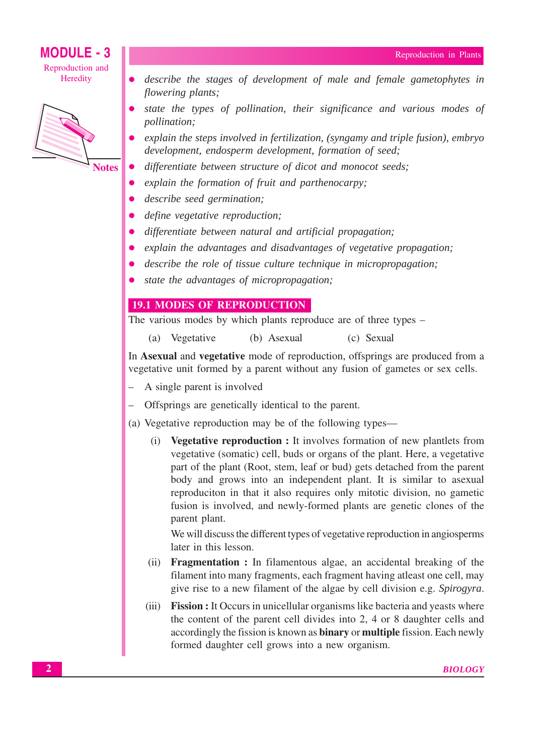## **MODULE - 3**

Reproduction and Heredity



**Notes** 

- describe the stages of development of male and female gametophytes in flowering plants;
- state the types of pollination, their significance and various modes of *pollination*;
- explain the steps involved in fertilization, (syngamy and triple fusion), embryo development, endosperm development, formation of seed;
- differentiate between structure of dicot and monocot seeds;
- explain the formation of fruit and parthenocarpy;
- describe seed germination;
- define vegetative reproduction;
- differentiate between natural and artificial propagation;
- explain the advantages and disadvantages of vegetative propagation;  $\bullet$
- describe the role of tissue culture technique in micropropagation;
- state the advantages of micropropagation;  $\bullet$

## **19.1 MODES OF REPRODUCTION**

The various modes by which plants reproduce are of three types –

(a) Vegetative (b) Asexual (c) Sexual

In Asexual and vegetative mode of reproduction, offsprings are produced from a vegetative unit formed by a parent without any fusion of gametes or sex cells.

- A single parent is involved
- Offsprings are genetically identical to the parent.
- (a) Vegetative reproduction may be of the following types—
	- **Vegetative reproduction :** It involves formation of new plantlets from  $(i)$ vegetative (somatic) cell, buds or organs of the plant. Here, a vegetative part of the plant (Root, stem, leaf or bud) gets detached from the parent body and grows into an independent plant. It is similar to asexual reproduciton in that it also requires only mitotic division, no gametic fusion is involved, and newly-formed plants are genetic clones of the parent plant.

We will discuss the different types of vegetative reproduction in angiosperms later in this lesson.

- (ii) **Fragmentation :** In filamentous algae, an accidental breaking of the filament into many fragments, each fragment having atleast one cell, may give rise to a new filament of the algae by cell division e.g. Spirogyra.
- **Fission :** It Occurs in unicellular organisms like bacteria and yeasts where  $(iii)$ the content of the parent cell divides into 2, 4 or 8 daughter cells and accordingly the fission is known as **binary** or **multiple** fission. Each newly formed daughter cell grows into a new organism.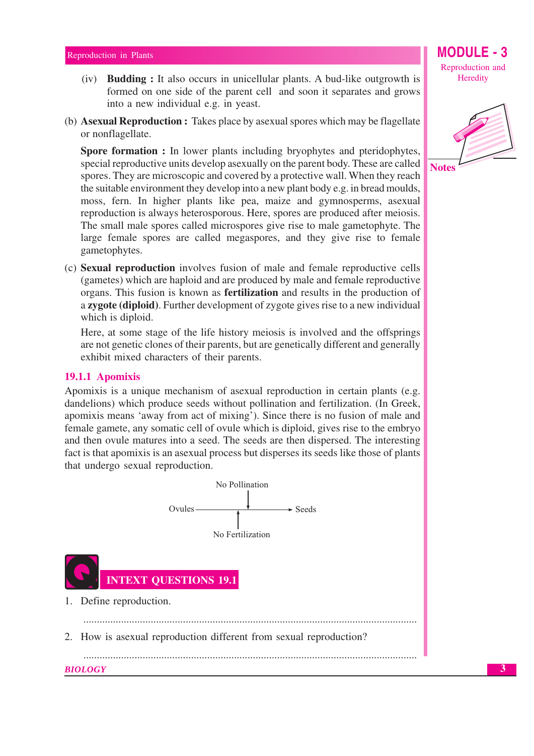### Reproduction in Plants

- (iv) **Budding**: It also occurs in unicellular plants. A bud-like outgrowth is formed on one side of the parent cell and soon it separates and grows into a new individual e.g. in yeast.
- (b) **Asexual Reproduction :** Takes place by asexual spores which may be flagellate or nonflagellate.

Spore formation : In lower plants including bryophytes and pteridophytes, special reproductive units develop as exually on the parent body. These are called spores. They are microscopic and covered by a protective wall. When they reach the suitable environment they develop into a new plant body e.g. in bread moulds, moss, fern. In higher plants like pea, maize and gymnosperms, asexual reproduction is always heterosporous. Here, spores are produced after meiosis. The small male spores called microspores give rise to male gametophyte. The large female spores are called megaspores, and they give rise to female gametophytes.

(c) Sexual reproduction involves fusion of male and female reproductive cells (gametes) which are haploid and are produced by male and female reproductive organs. This fusion is known as **fertilization** and results in the production of a zygote (diploid). Further development of zygote gives rise to a new individual which is diploid.

Here, at some stage of the life history meiosis is involved and the offsprings are not genetic clones of their parents, but are genetically different and generally exhibit mixed characters of their parents.

### 19.1.1 Apomixis

Apomixis is a unique mechanism of asexual reproduction in certain plants (e.g. dandelions) which produce seeds without pollination and fertilization. (In Greek, apomixis means 'away from act of mixing'). Since there is no fusion of male and female gamete, any somatic cell of ovule which is diploid, gives rise to the embryo and then ovule matures into a seed. The seeds are then dispersed. The interesting fact is that apomixis is an asexual process but disperses its seeds like those of plants that undergo sexual reproduction.



Reproduction and Heredity

MODULE



 $\overline{\mathbf{3}}$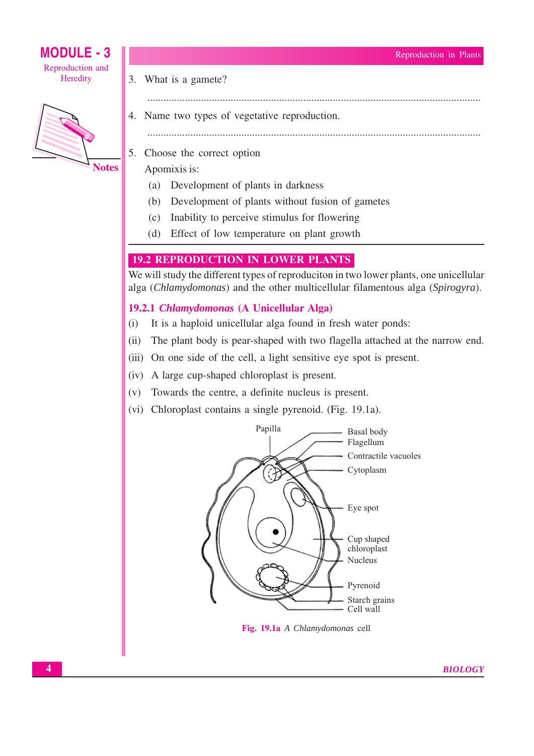### Reproduction in Plants

## **MODULE - 3** Reproduction and Heredity



- 3. What is a gamete?
- 
- 4. Name two types of vegetative reproduction.
	-

- 5. Choose the correct option
	- Apomixis is:
		- (a) Development of plants in darkness
		- Development of plants without fusion of gametes  $(b)$
		- Inability to perceive stimulus for flowering  $(c)$
		- Effect of low temperature on plant growth  $(d)$

## **19.2 REPRODUCTION IN LOWER PLANTS**

We will study the different types of reproduciton in two lower plants, one unicellular alga (Chlamydomonas) and the other multicellular filamentous alga (Spirogyra).

## 19.2.1 Chlamydomonas (A Unicellular Alga)

- $(i)$ It is a haploid unicellular alga found in fresh water ponds:
- $(ii)$ The plant body is pear-shaped with two flagella attached at the narrow end.
- (iii) On one side of the cell, a light sensitive eye spot is present.
- (iv) A large cup-shaped chloroplast is present.
- (v) Towards the centre, a definite nucleus is present.
- (vi) Chloroplast contains a single pyrenoid. (Fig. 19.1a).



Fig. 19.1a A Chlamydomonas cell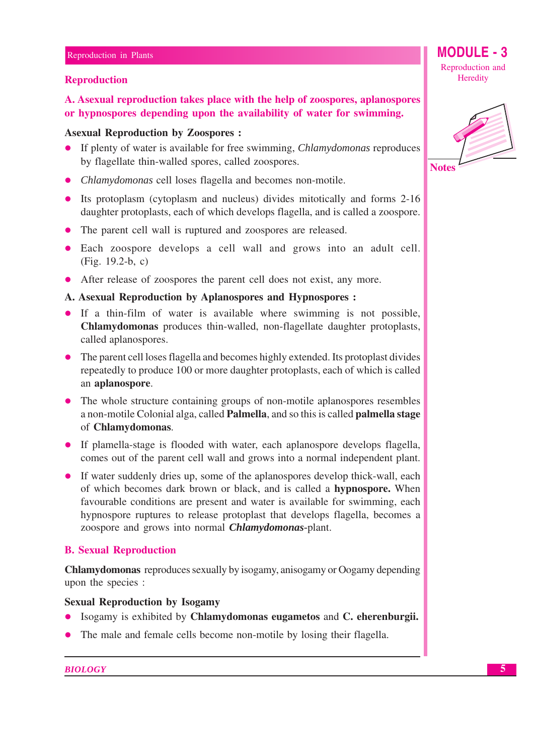## **Reproduction**

A. Asexual reproduction takes place with the help of zoospores, aplanospores or hypnospores depending upon the availability of water for swimming.

## **Asexual Reproduction by Zoospores:**

- If plenty of water is available for free swimming, *Chlamydomonas* reproduces  $\bullet$ by flagellate thin-walled spores, called zoospores.
- *Chlamydomonas* cell loses flagella and becomes non-motile.
- Its protoplasm (cytoplasm and nucleus) divides mitotically and forms 2-16 daughter protoplasts, each of which develops flagella, and is called a zoospore.
- The parent cell wall is ruptured and zoospores are released.
- Each zoospore develops a cell wall and grows into an adult cell. (Fig.  $19.2-b$ , c)
- After release of zoospores the parent cell does not exist, any more.
- A. Asexual Reproduction by Aplanospores and Hypnospores :
- If a thin-film of water is available where swimming is not possible, Chlamydomonas produces thin-walled, non-flagellate daughter protoplasts, called aplanospores.
- The parent cell loses flagella and becomes highly extended. Its protoplast divides repeatedly to produce 100 or more daughter protoplasts, each of which is called an aplanospore.
- The whole structure containing groups of non-motile aplanospores resembles  $\bullet$ a non-motile Colonial alga, called Palmella, and so this is called palmella stage of Chlamydomonas.
- If plamella-stage is flooded with water, each aplanospore develops flagella, comes out of the parent cell wall and grows into a normal independent plant.
- If water suddenly dries up, some of the aplanospores develop thick-wall, each of which becomes dark brown or black, and is called a **hypnospore**. When favourable conditions are present and water is available for swimming, each hypnospore ruptures to release protoplast that develops flagella, becomes a zoospore and grows into normal *Chlamydomonas*-plant.

## **B. Sexual Reproduction**

**Chlamydomonas** reproduces sexually by isogamy, anisogamy or Oogamy depending upon the species :

## **Sexual Reproduction by Isogamy**

- Isogamy is exhibited by Chlamydomonas eugametos and C. eherenburgii.
- The male and female cells become non-motile by losing their flagella.  $\bullet$

**MODULE - 3** Reproduction and Heredity

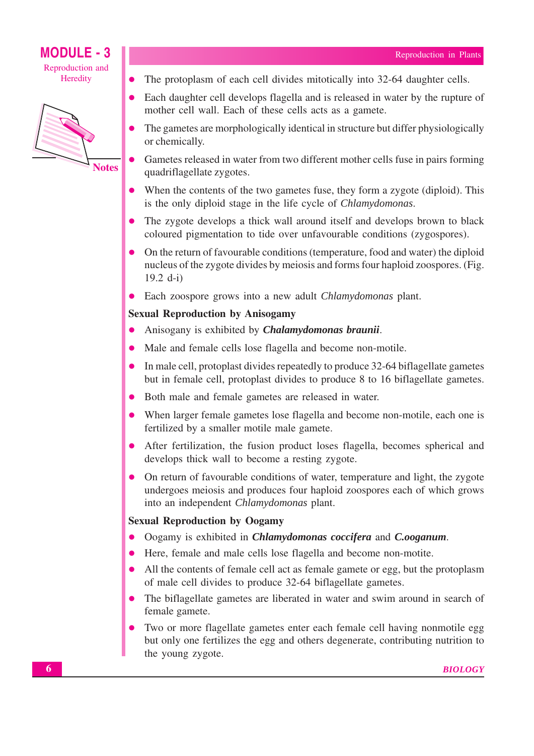

The protoplasm of each cell divides mitotically into 32-64 daughter cells.  $\bullet$ 

- Each daughter cell develops flagella and is released in water by the rupture of mother cell wall. Each of these cells acts as a gamete.
- The gametes are morphologically identical in structure but differ physiologically or chemically.
- Gametes released in water from two different mother cells fuse in pairs forming quadriflagellate zygotes.
- When the contents of the two gametes fuse, they form a zygote (diploid). This is the only diploid stage in the life cycle of Chlamydomonas.
- The zygote develops a thick wall around itself and develops brown to black coloured pigmentation to tide over unfavourable conditions (zygospores).
- On the return of favourable conditions (temperature, food and water) the diploid nucleus of the zygote divides by meiosis and forms four haploid zoospores. (Fig. 19.2 d-i)
- Each zoospore grows into a new adult *Chlamydomonas* plant.

## **Sexual Reproduction by Anisogamy**

- Anisogany is exhibited by *Chalamydomonas braunii*.  $\bullet$
- Male and female cells lose flagella and become non-motile.
- In male cell, protoplast divides repeatedly to produce 32-64 biflagellate gametes  $\bullet$ but in female cell, protoplast divides to produce 8 to 16 biflagellate gametes.
- Both male and female gametes are released in water.  $\bullet$
- When larger female gametes lose flagella and become non-motile, each one is fertilized by a smaller motile male gamete.
- After fertilization, the fusion product loses flagella, becomes spherical and develops thick wall to become a resting zygote.
- On return of favourable conditions of water, temperature and light, the zygote undergoes meiosis and produces four haploid zoospores each of which grows into an independent Chlamydomonas plant.

## **Sexual Reproduction by Oogamy**

- Oogamy is exhibited in *Chlamydomonas coccifera* and *C.ooganum*.
- Here, female and male cells lose flagella and become non-motite.  $\bullet$
- All the contents of female cell act as female gamete or egg, but the protoplasm of male cell divides to produce 32-64 biflagellate gametes.
- The biflagellate gametes are liberated in water and swim around in search of  $\bullet$ female gamete.
- Two or more flagellate gametes enter each female cell having nonmotile egg but only one fertilizes the egg and others degenerate, contributing nutrition to the young zygote.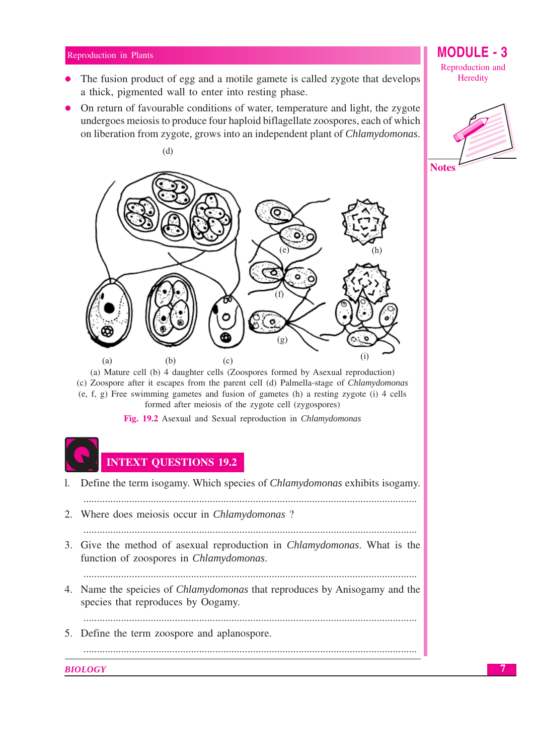### Reproduction in Plants

- The fusion product of egg and a motile gamete is called zygote that develops a thick, pigmented wall to enter into resting phase.
- On return of favourable conditions of water, temperature and light, the zygote undergoes meiosis to produce four haploid biflagellate zoospores, each of which on liberation from zygote, grows into an independent plant of *Chlamydomonas*.



(a) Mature cell (b) 4 daughter cells (Zoospores formed by Asexual reproduction) (c) Zoospore after it escapes from the parent cell (d) Palmella-stage of *Chlamydomonas*  $(e, f, g)$  Free swimming gametes and fusion of gametes (h) a resting zygote (i) 4 cells formed after meiosis of the zygote cell (zygospores)

Fig. 19.2 Asexual and Sexual reproduction in *Chlamydomonas* 



## **INTEXT QUESTIONS 19.2**

Define the term isogamy. Which species of *Chlamydomonas* exhibits isogamy.  $1.$ 

- 2. Where does meiosis occur in *Chlamydomonas* ?
- 
- 3. Give the method of asexual reproduction in *Chlamydomonas*. What is the function of zoospores in Chlamydomonas.

- 4. Name the speicies of *Chlamydomonas* that reproduces by Anisogamy and the species that reproduces by Oogamy.
	-
- 5. Define the term zoospore and aplanospore.

**BIOLOGY** 

## MODULE

Reproduction and Heredity

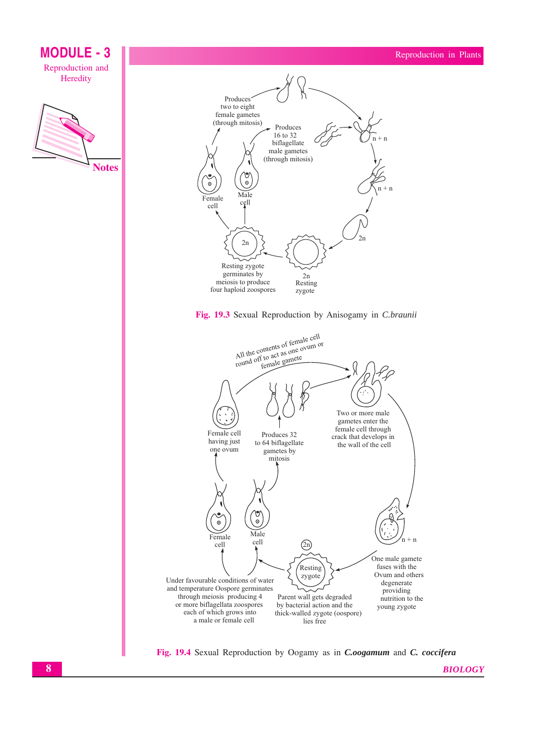

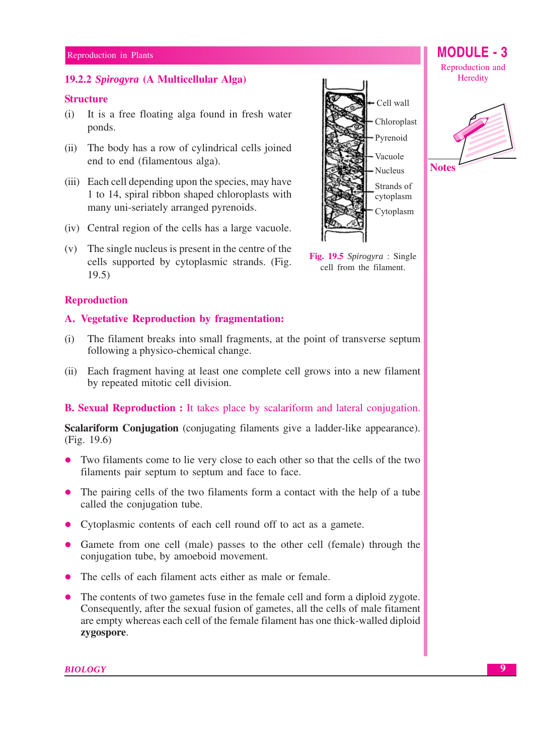## 19.2.2 Spirogyra (A Multicellular Alga)

## **Structure**

- (i) It is a free floating alga found in fresh water ponds.
- (ii) The body has a row of cylindrical cells joined end to end (filamentous alga).
- (iii) Each cell depending upon the species, may have 1 to 14, spiral ribbon shaped chloroplasts with many uni-seriately arranged pyrenoids.
- (iv) Central region of the cells has a large vacuole.
- (v) The single nucleus is present in the centre of the cells supported by cytoplasmic strands. (Fig.  $19.5)$

## **Reproduction**

## A. Vegetative Reproduction by fragmentation:

- The filament breaks into small fragments, at the point of transverse septum  $(i)$ following a physico-chemical change.
- (ii) Each fragment having at least one complete cell grows into a new filament by repeated mitotic cell division.

## **B. Sexual Reproduction :** It takes place by scalariform and lateral conjugation.

**Scalariform Conjugation** (conjugating filaments give a ladder-like appearance).  $(Fig. 19.6)$ 

- Two filaments come to lie very close to each other so that the cells of the two  $\bullet$ filaments pair septum to septum and face to face.
- The pairing cells of the two filaments form a contact with the help of a tube called the conjugation tube.
- Cytoplasmic contents of each cell round off to act as a gamete.
- Gamete from one cell (male) passes to the other cell (female) through the conjugation tube, by amoeboid movement.
- The cells of each filament acts either as male or female.
- The contents of two gametes fuse in the female cell and form a diploid zygote. Consequently, after the sexual fusion of gametes, all the cells of male fitament are empty whereas each cell of the female filament has one thick-walled diploid zygospore.



Reproduction and Heredity

**MODULE - 3** 



Fig. 19.5 Spirogyra : Single cell from the filament.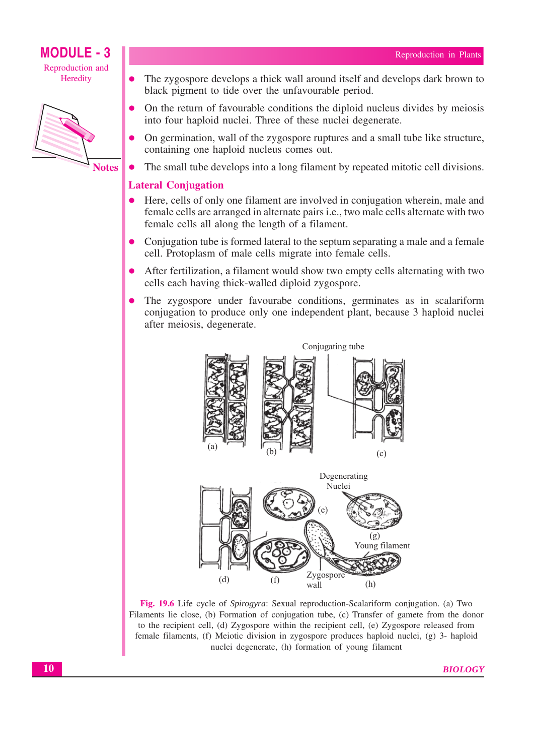

**Notes** 

- The zygospore develops a thick wall around itself and develops dark brown to black pigment to tide over the unfavourable period.
- On the return of favourable conditions the diploid nucleus divides by meiosis into four haploid nuclei. Three of these nuclei degenerate.
- On germination, wall of the zygospore ruptures and a small tube like structure, containing one haploid nucleus comes out.
- The small tube develops into a long filament by repeated mitotic cell divisions.  $\bullet$

## **Lateral Conjugation**

- Here, cells of only one filament are involved in conjugation wherein, male and  $\bullet$ female cells are arranged in alternate pairs *i.e.*, two male cells alternate with two female cells all along the length of a filament.
- Conjugation tube is formed lateral to the septum separating a male and a female cell. Protoplasm of male cells migrate into female cells.
- After fertilization, a filament would show two empty cells alternating with two cells each having thick-walled diploid zygospore.
- The zygospore under favourabe conditions, germinates as in scalariform conjugation to produce only one independent plant, because 3 haploid nuclei after meiosis, degenerate.



Fig. 19.6 Life cycle of Spirogyra: Sexual reproduction-Scalariform conjugation. (a) Two Filaments lie close, (b) Formation of conjugation tube, (c) Transfer of gamete from the donor to the recipient cell, (d) Zygospore within the recipient cell, (e) Zygospore released from female filaments, (f) Meiotic division in zygospore produces haploid nuclei, (g) 3- haploid nuclei degenerate, (h) formation of young filament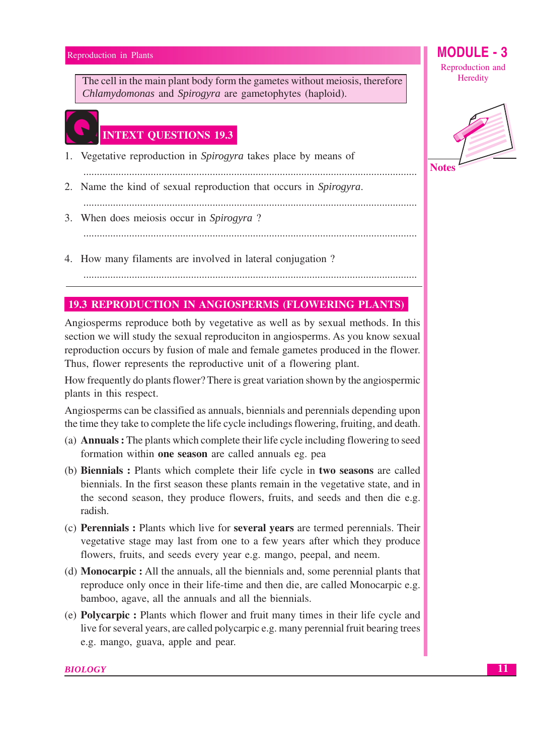Reproduction in Plants

The cell in the main plant body form the gametes without meiosis, therefore Chlamydomonas and Spirogyra are gametophytes (haploid).

## **INTEXT QUESTIONS 19.3**

- 1. Vegetative reproduction in Spirogyra takes place by means of
- 2. Name the kind of sexual reproduction that occurs in Spirogyra.
- 3. When does meiosis occur in Spirogyra?
- 4. How many filaments are involved in lateral conjugation?

## **19.3 REPRODUCTION IN ANGIOSPERMS (FLOWERING PLANTS)**

Angiosperms reproduce both by vegetative as well as by sexual methods. In this section we will study the sexual reproduciton in angiosperms. As you know sexual reproduction occurs by fusion of male and female gametes produced in the flower. Thus, flower represents the reproductive unit of a flowering plant.

How frequently do plants flower? There is great variation shown by the angiospermic plants in this respect.

Angiosperms can be classified as annuals, biennials and perennials depending upon the time they take to complete the life cycle includings flowering, fruiting, and death.

- (a) **Annuals**: The plants which complete their life cycle including flowering to seed formation within one season are called annuals eg. pea
- (b) Biennials : Plants which complete their life cycle in two seasons are called biennials. In the first season these plants remain in the vegetative state, and in the second season, they produce flowers, fruits, and seeds and then die e.g. radish.
- (c) Perennials: Plants which live for several years are termed perennials. Their vegetative stage may last from one to a few years after which they produce flowers, fruits, and seeds every year e.g. mango, peepal, and neem.
- (d) **Monocarpic**: All the annuals, all the biennials and, some perennial plants that reproduce only once in their life-time and then die, are called Monocarpic e.g. bamboo, agave, all the annuals and all the biennials.
- (e) **Polycarpic**: Plants which flower and fruit many times in their life cycle and live for several years, are called polycarpic e.g. many perennial fruit bearing trees e.g. mango, guava, apple and pear.

Reproduction and Heredity

**MODULE - 3** 

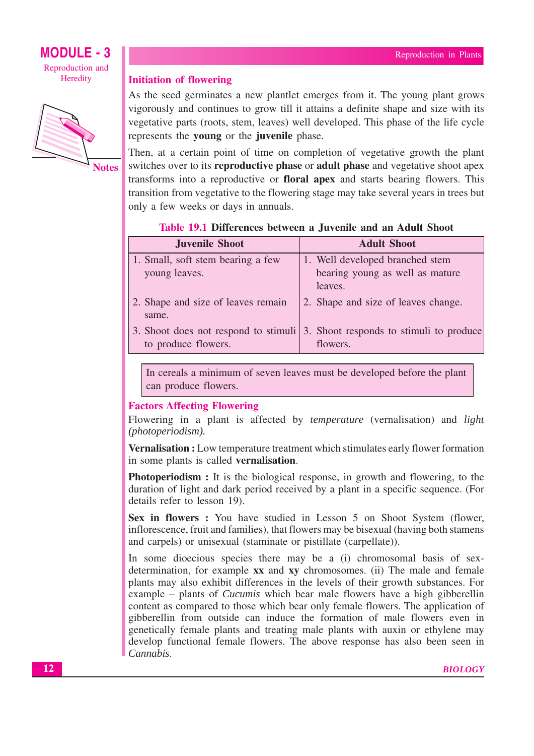

## **Initiation of flowering**

As the seed germinates a new plantlet emerges from it. The young plant grows vigorously and continues to grow till it attains a definite shape and size with its vegetative parts (roots, stem, leaves) well developed. This phase of the life cycle represents the young or the juvenile phase.

Then, at a certain point of time on completion of vegetative growth the plant switches over to its **reproductive phase** or **adult phase** and vegetative shoot apex transforms into a reproductive or **floral apex** and starts bearing flowers. This transition from vegetative to the flowering stage may take several vears in trees but only a few weeks or days in annuals.

## Table 19.1 Differences between a Juvenile and an Adult Shoot

| <b>Juvenile Shoot</b>              | <b>Adult Shoot</b>                                                                   |
|------------------------------------|--------------------------------------------------------------------------------------|
| 1. Small, soft stem bearing a few  | 1. Well developed branched stem                                                      |
| young leaves.                      | bearing young as well as mature                                                      |
|                                    | leaves.                                                                              |
| 2. Shape and size of leaves remain | 2. Shape and size of leaves change.                                                  |
| same.                              |                                                                                      |
|                                    | 3. Shoot does not respond to stimuli $\vert$ 3. Shoot responds to stimuli to produce |
| to produce flowers.                | flowers.                                                                             |

In cereals a minimum of seven leaves must be developed before the plant can produce flowers.

## **Factors Affecting Flowering**

Flowering in a plant is affected by *temperature* (vernalisation) and *light* (photoperiodism).

Vernalisation : Low temperature treatment which stimulates early flower formation in some plants is called vernalisation.

**Photoperiodism**: It is the biological response, in growth and flowering, to the duration of light and dark period received by a plant in a specific sequence. (For details refer to lesson 19).

Sex in flowers: You have studied in Lesson 5 on Shoot System (flower, inflorescence, fruit and families), that flowers may be bisexual (having both stamens and carpels) or unisexual (staminate or pistillate (carpellate)).

In some dioecious species there may be a (i) chromosomal basis of sexdetermination, for example xx and xy chromosomes. (ii) The male and female plants may also exhibit differences in the levels of their growth substances. For example – plants of *Cucumis* which bear male flowers have a high gibberellin content as compared to those which bear only female flowers. The application of gibberellin from outside can induce the formation of male flowers even in genetically female plants and treating male plants with auxin or ethylene may develop functional female flowers. The above response has also been seen in Cannabis.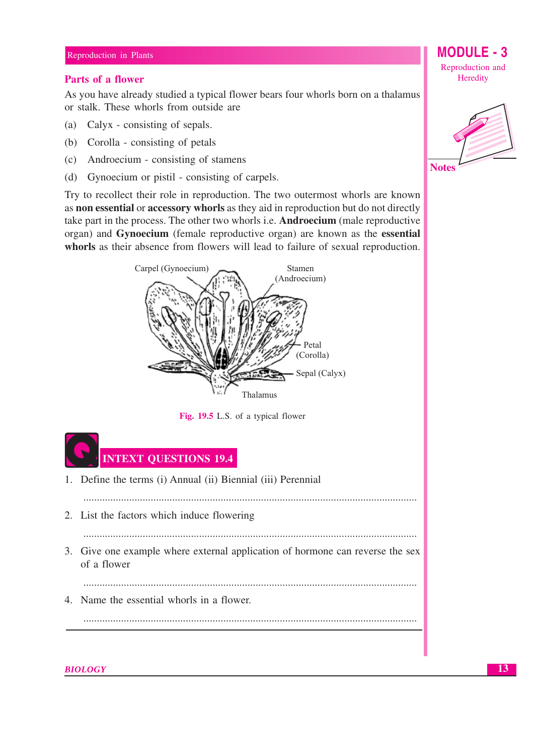### Reproduction in Plants

## **Parts of a flower**

As you have already studied a typical flower bears four whorls born on a thalamus or stalk. These whorls from outside are

- (a) Calyx consisting of sepals.
- (b) Corolla consisting of petals
- (c) Androecium consisting of stamens
- (d) Gynoecium or pistil consisting of carpels.

Try to recollect their role in reproduction. The two outermost whorls are known as non essential or accessory whorls as they aid in reproduction but do not directly take part in the process. The other two whorls i.e. Androecium (male reproductive organ) and Gynoecium (female reproductive organ) are known as the essential whorls as their absence from flowers will lead to failure of sexual reproduction.



Fig. 19.5 L.S. of a typical flower



**BIOLOGY** 

**MODULE -**Reproduction and Heredity

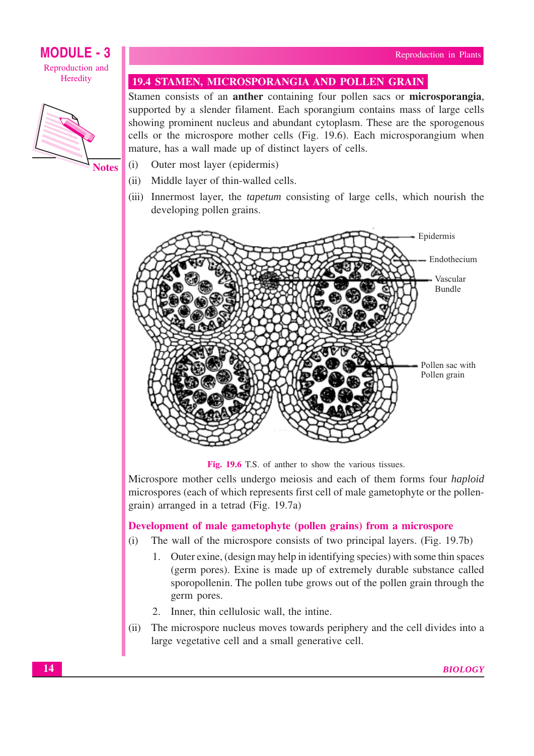

**Notes** 

## **19.4 STAMEN, MICROSPORANGIA AND POLLEN GRAIN**

Stamen consists of an **anther** containing four pollen sacs or **microsporangia**, supported by a slender filament. Each sporangium contains mass of large cells showing prominent nucleus and abundant cytoplasm. These are the sporogenous cells or the microspore mother cells (Fig. 19.6). Each microsporangium when mature, has a wall made up of distinct layers of cells.

- $(i)$ Outer most layer (epidermis)
- Middle layer of thin-walled cells.  $(ii)$
- (iii) Innermost layer, the *tapetum* consisting of large cells, which nourish the developing pollen grains.



Fig. 19.6 T.S. of anther to show the various tissues.

Microspore mother cells undergo meiosis and each of them forms four *haploid* microspores (each of which represents first cell of male gametophyte or the pollengrain) arranged in a tetrad (Fig. 19.7a)

## Development of male gametophyte (pollen grains) from a microspore

- The wall of the microspore consists of two principal layers. (Fig. 19.7b)  $(i)$ 
	- 1. Outer exine, (design may help in identifying species) with some thin spaces (germ pores). Exine is made up of extremely durable substance called sporopollenin. The pollen tube grows out of the pollen grain through the germ pores.
	- 2. Inner, thin cellulosic wall, the intine.
- The microspore nucleus moves towards periphery and the cell divides into a  $(ii)$ large vegetative cell and a small generative cell.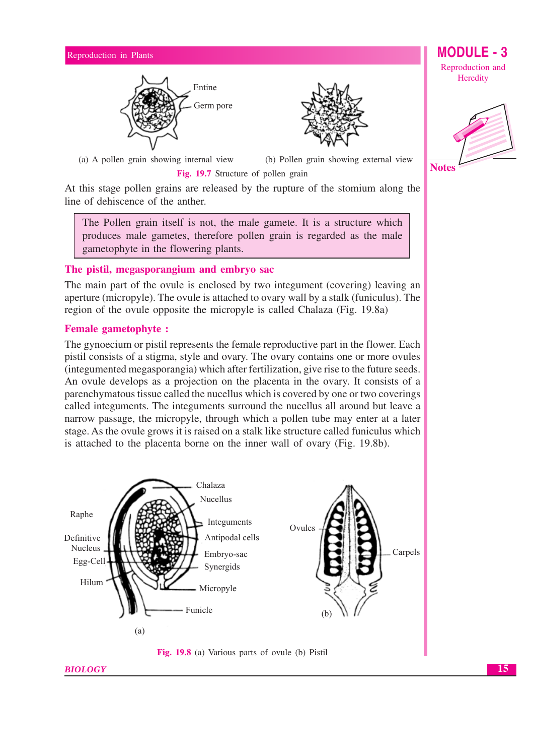



(a) A pollen grain showing internal view

(b) Pollen grain showing external view Fig. 19.7 Structure of pollen grain

At this stage pollen grains are released by the rupture of the stomium along the line of dehiscence of the anther.

The Pollen grain itself is not, the male gamete. It is a structure which produces male gametes, therefore pollen grain is regarded as the male gametophyte in the flowering plants.

## The pistil, megasporangium and embryo sac

The main part of the ovule is enclosed by two integument (covering) leaving an aperture (micropyle). The ovule is attached to ovary wall by a stalk (funiculus). The region of the ovule opposite the micropyle is called Chalaza (Fig. 19.8a)

## **Female gametophyte:**

The gynoecium or pistil represents the female reproductive part in the flower. Each pistil consists of a stigma, style and ovary. The ovary contains one or more ovules (integumented megasporangia) which after fertilization, give rise to the future seeds. An ovule develops as a projection on the placenta in the ovary. It consists of a parenchymatous tissue called the nucellus which is covered by one or two coverings called integuments. The integuments surround the nucellus all around but leave a narrow passage, the micropyle, through which a pollen tube may enter at a later stage. As the ovule grows it is raised on a stalk like structure called funiculus which is attached to the placenta borne on the inner wall of ovary (Fig. 19.8b).





Reproduction and Heredity

**MODULE** 



15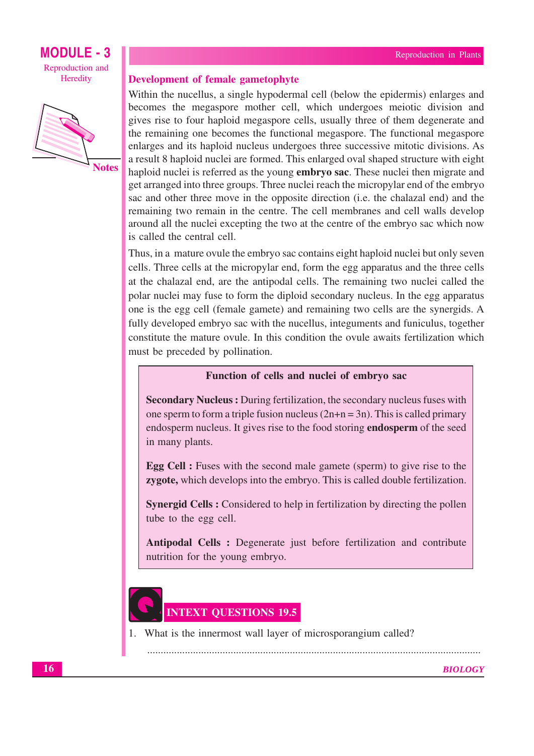



Development of female gametophyte

Within the nucellus, a single hypodermal cell (below the epidermis) enlarges and becomes the megaspore mother cell, which undergoes meiotic division and gives rise to four haploid megaspore cells, usually three of them degenerate and the remaining one becomes the functional megaspore. The functional megaspore enlarges and its haploid nucleus undergoes three successive mitotic divisions. As a result 8 haploid nuclei are formed. This enlarged oval shaped structure with eight haploid nuclei is referred as the young **embryo sac**. These nuclei then migrate and get arranged into three groups. Three nuclei reach the micropylar end of the embryo sac and other three move in the opposite direction (i.e. the chalazal end) and the remaining two remain in the centre. The cell membranes and cell walls develop around all the nuclei excepting the two at the centre of the embryo sac which now is called the central cell.

Thus, in a mature ovule the embryo sac contains eight haploid nuclei but only seven cells. Three cells at the micropylar end, form the egg apparatus and the three cells at the chalazal end, are the antipodal cells. The remaining two nuclei called the polar nuclei may fuse to form the diploid secondary nucleus. In the egg apparatus one is the egg cell (female gamete) and remaining two cells are the synergids. A fully developed embryo sac with the nucellus, integuments and funiculus, together constitute the mature ovule. In this condition the ovule awaits fertilization which must be preceded by pollination.

## Function of cells and nuclei of embryo sac

**Secondary Nucleus:** During fertilization, the secondary nucleus fuses with one sperm to form a triple fusion nucleus  $(2n+n=3n)$ . This is called primary endosperm nucleus. It gives rise to the food storing **endosperm** of the seed in many plants.

**Egg Cell**: Fuses with the second male gamete (sperm) to give rise to the zygote, which develops into the embryo. This is called double fertilization.

**Synergid Cells:** Considered to help in fertilization by directing the pollen tube to the egg cell.

Antipodal Cells : Degenerate just before fertilization and contribute nutrition for the young embryo.

# **INTEXT QUESTIONS 19.5**

1. What is the innermost wall layer of microsporangium called?

**BIOLOGY**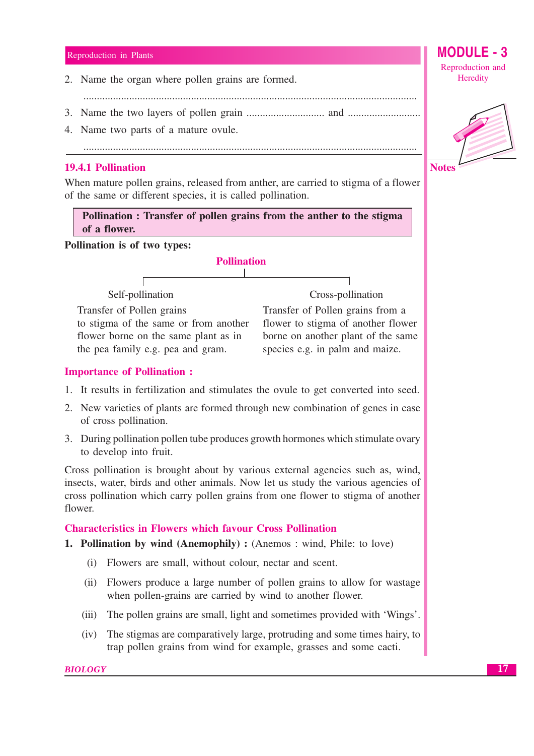2. Name the organ where pollen grains are formed.

- 
- 4. Name two parts of a mature ovule.

## **19.4.1 Pollination**

When mature pollen grains, released from anther, are carried to stigma of a flower of the same or different species, it is called pollination.

Pollination: Transfer of pollen grains from the anther to the stigma of a flower.

## Pollination is of two types:

**Pollination** Self-pollination Cross-pollination Transfer of Pollen grains to stigma of the same or from another flower borne on the same plant as in the pea family e.g. pea and gram.

## Transfer of Pollen grains from a flower to stigma of another flower borne on another plant of the same species e.g. in palm and maize.

## **Importance of Pollination:**

- 1. It results in fertilization and stimulates the ovule to get converted into seed.
- 2. New varieties of plants are formed through new combination of genes in case of cross pollination.
- 3. During pollination pollen tube produces growth hormones which stimulate ovary to develop into fruit.

Cross pollination is brought about by various external agencies such as, wind, insects, water, birds and other animals. Now let us study the various agencies of cross pollination which carry pollen grains from one flower to stigma of another flower.

## **Characteristics in Flowers which favour Cross Pollination**

## **1. Pollination by wind (Anemophily):** (Anemos: wind, Phile: to love)

- (i) Flowers are small, without colour, nectar and scent.
- (ii) Flowers produce a large number of pollen grains to allow for wastage when pollen-grains are carried by wind to another flower.
- (iii) The pollen grains are small, light and sometimes provided with 'Wings'.
- The stigmas are comparatively large, protruding and some times hairy, to  $(iv)$ trap pollen grains from wind for example, grasses and some cacti.



**MODULE - 3** 



17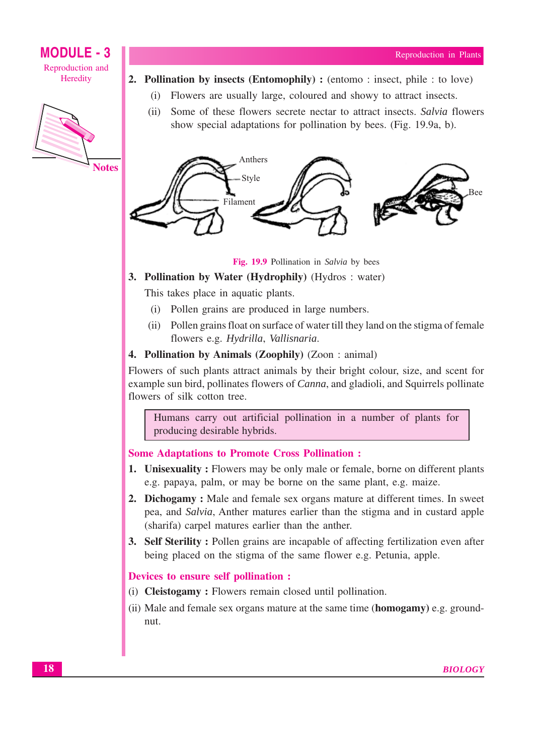

- 2. Pollination by insects (Entomophily): (entomo: insect, phile: to love)
	- Flowers are usually large, coloured and showy to attract insects.  $(i)$
	- $(ii)$ Some of these flowers secrete nectar to attract insects. Salvia flowers show special adaptations for pollination by bees. (Fig. 19.9a, b).



Fig. 19.9 Pollination in Salvia by bees

## 3. Pollination by Water (Hydrophily) (Hydros: water)

This takes place in aquatic plants.

- (i) Pollen grains are produced in large numbers.
- (ii) Pollen grains float on surface of water till they land on the stigma of female flowers e.g. Hydrilla, Vallisnaria.

## **4. Pollination by Animals (Zoophily)** (Zoon : animal)

Flowers of such plants attract animals by their bright colour, size, and scent for example sun bird, pollinates flowers of *Canna*, and gladioli, and Squirrels pollinate flowers of silk cotton tree.

Humans carry out artificial pollination in a number of plants for producing desirable hybrids.

### **Some Adaptations to Promote Cross Pollination:**

- **1.** Unisexuality: Flowers may be only male or female, borne on different plants e.g. papaya, palm, or may be borne on the same plant, e.g. maize.
- 2. Dichogamy: Male and female sex organs mature at different times. In sweet pea, and Salvia, Anther matures earlier than the stigma and in custard apple (sharifa) carpel matures earlier than the anther.
- **3. Self Sterility:** Pollen grains are incapable of affecting fertilization even after being placed on the stigma of the same flower e.g. Petunia, apple.

### Devices to ensure self pollination :

- (i) **Cleistogamy**: Flowers remain closed until pollination.
- (ii) Male and female sex organs mature at the same time (**homogamy**) e.g. groundnut.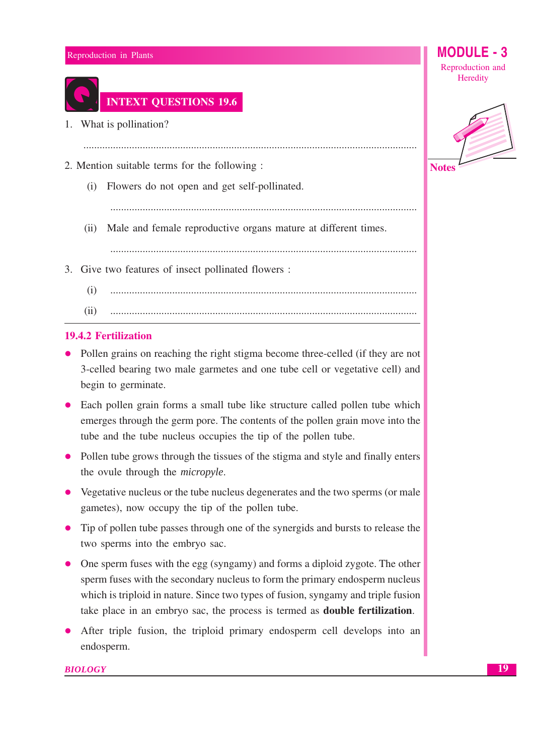## MODL Reproduction in Plants Reproduction and Heredity **INTEXT QUESTIONS 19.6** 1. What is pollination? 2. Mention suitable terms for the following : **Notes** (i) Flowers do not open and get self-pollinated. (ii) Male and female reproductive organs mature at different times. 3. Give two features of insect pollinated flowers :  $(i)$  $(ii)$

## **19.4.2 Fertilization**

- Pollen grains on reaching the right stigma become three-celled (if they are not 3-celled bearing two male garmetes and one tube cell or vegetative cell) and begin to germinate.
- Each pollen grain forms a small tube like structure called pollen tube which emerges through the germ pore. The contents of the pollen grain move into the tube and the tube nucleus occupies the tip of the pollen tube.
- Pollen tube grows through the tissues of the stigma and style and finally enters the ovule through the *micropyle*.
- Vegetative nucleus or the tube nucleus degenerates and the two sperms (or male gametes), now occupy the tip of the pollen tube.
- Tip of pollen tube passes through one of the synergids and bursts to release the two sperms into the embryo sac.
- One sperm fuses with the egg (syngamy) and forms a diploid zygote. The other sperm fuses with the secondary nucleus to form the primary endosperm nucleus which is triploid in nature. Since two types of fusion, syngamy and triple fusion take place in an embryo sac, the process is termed as **double fertilization**.
- After triple fusion, the triploid primary endosperm cell develops into an endosperm.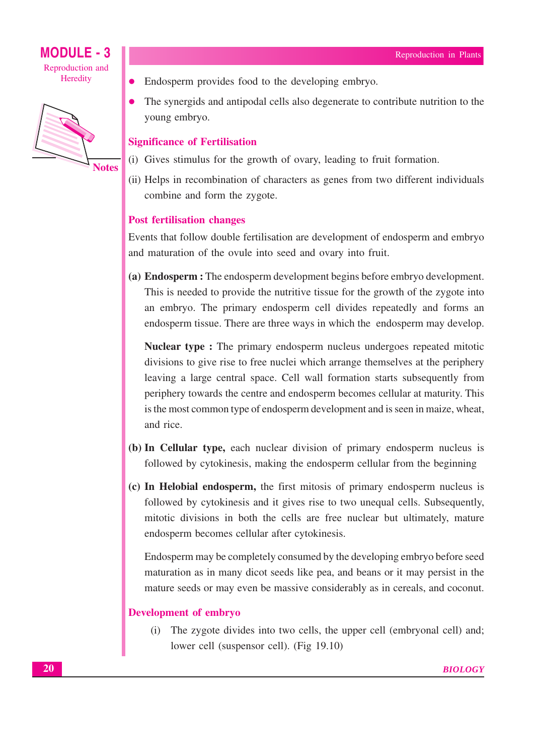

- Endosperm provides food to the developing embryo.  $\bullet$
- The synergids and antipodal cells also degenerate to contribute nutrition to the young embryo.

## **Significance of Fertilisation**

- (i) Gives stimulus for the growth of ovary, leading to fruit formation.
- (ii) Helps in recombination of characters as genes from two different individuals combine and form the zygote.

## **Post fertilisation changes**

Events that follow double fertilisation are development of endosperm and embryo and maturation of the ovule into seed and ovary into fruit.

(a) Endosperm : The endosperm development begins before embryo development. This is needed to provide the nutritive tissue for the growth of the zygote into an embryo. The primary endosperm cell divides repeatedly and forms an endosperm tissue. There are three ways in which the endosperm may develop.

Nuclear type : The primary endosperm nucleus undergoes repeated mitotic divisions to give rise to free nuclei which arrange themselves at the periphery leaving a large central space. Cell wall formation starts subsequently from periphery towards the centre and endosperm becomes cellular at maturity. This is the most common type of endosperm development and is seen in maize, wheat, and rice.

- (b) In Cellular type, each nuclear division of primary endosperm nucleus is followed by cytokinesis, making the endosperm cellular from the beginning
- (c) In Helobial endosperm, the first mitosis of primary endosperm nucleus is followed by cytokinesis and it gives rise to two unequal cells. Subsequently, mitotic divisions in both the cells are free nuclear but ultimately, mature endosperm becomes cellular after cytokinesis.

Endosperm may be completely consumed by the developing embryo before seed maturation as in many dicot seeds like pea, and beans or it may persist in the mature seeds or may even be massive considerably as in cereals, and coconut.

## **Development of embryo**

(i) The zygote divides into two cells, the upper cell (embryonal cell) and; lower cell (suspensor cell). (Fig 19.10)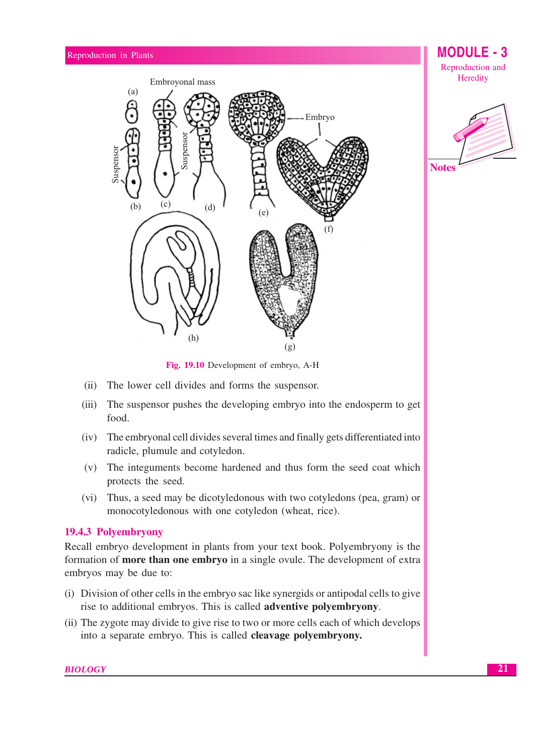



**Notes** 

Fig. 19.10 Development of embryo, A-H

- (ii) The lower cell divides and forms the suspensor.
- $(iii)$ The suspensor pushes the developing embryo into the endosperm to get food.
- (iv) The embryonal cell divides several times and finally gets differentiated into radicle, plumule and cotyledon.
- (v) The integuments become hardened and thus form the seed coat which protects the seed.
- (vi) Thus, a seed may be dicotyledonous with two cotyledons (pea, gram) or monocotyledonous with one cotyledon (wheat, rice).

## 19.4.3 Polyembryony

Recall embryo development in plants from your text book. Polyembryony is the formation of **more than one embryo** in a single ovule. The development of extra embryos may be due to:

- (i) Division of other cells in the embryo sac like synergids or antipodal cells to give rise to additional embryos. This is called **adventive polyembryony**.
- (ii) The zygote may divide to give rise to two or more cells each of which develops into a separate embryo. This is called cleavage polyembryony.

**BIOLOGY**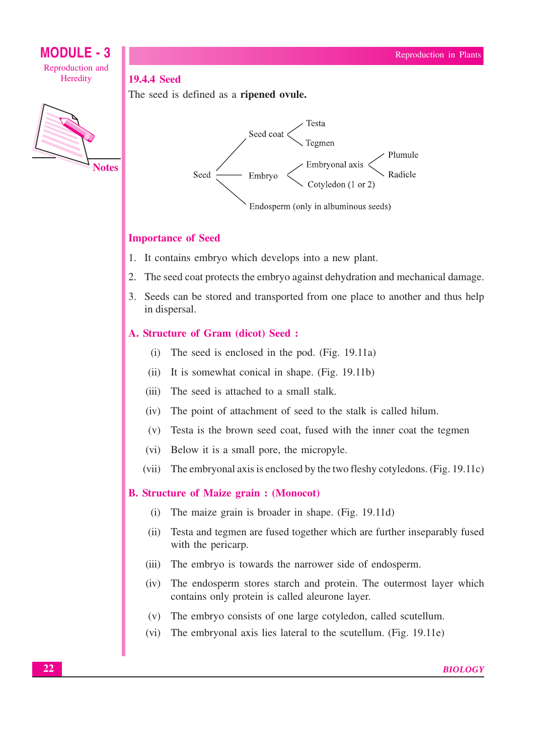



## **Importance of Seed**

**19.4.4 Seed** 

- 1. It contains embryo which develops into a new plant.
- 2. The seed coat protects the embryo against dehydration and mechanical damage.
- 3. Seeds can be stored and transported from one place to another and thus help in dispersal.

## A. Structure of Gram (dicot) Seed:

The seed is defined as a **ripened ovule.** 

- (i) The seed is enclosed in the pod.  $(Fig. 19.11a)$
- (ii) It is somewhat conical in shape. (Fig. 19.11b)
- The seed is attached to a small stalk.  $(iii)$
- The point of attachment of seed to the stalk is called hilum.  $(iv)$
- (v) Testa is the brown seed coat, fused with the inner coat the tegmen
- (vi) Below it is a small pore, the micropyle.
- (vii) The embryonal axis is enclosed by the two fleshy cotyledons. (Fig. 19.11c)

## **B. Structure of Maize grain: (Monocot)**

- The maize grain is broader in shape. (Fig. 19.11d)  $(i)$
- $(ii)$ Testa and tegmen are fused together which are further inseparably fused with the pericarp.
- (iii) The embryo is towards the narrower side of endosperm.
- The endosperm stores starch and protein. The outermost layer which  $(iv)$ contains only protein is called aleurone layer.
- (v) The embryo consists of one large cotyledon, called scutellum.
- The embryonal axis lies lateral to the scutellum. (Fig. 19.11e)  $(vi)$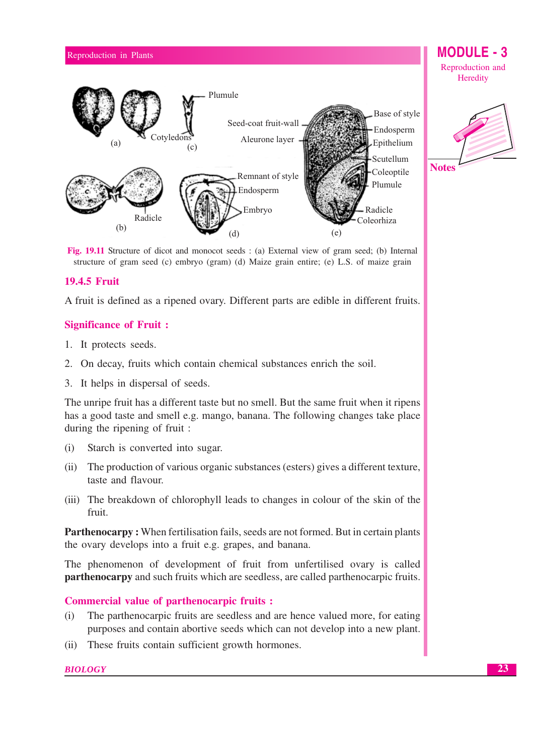

Fig. 19.11 Structure of dicot and monocot seeds : (a) External view of gram seed; (b) Internal structure of gram seed (c) embryo (gram) (d) Maize grain entire; (e) L.S. of maize grain

## **19.4.5 Fruit**

A fruit is defined as a ripened ovary. Different parts are edible in different fruits.

## **Significance of Fruit:**

- 1. It protects seeds.
- 2. On decay, fruits which contain chemical substances enrich the soil.
- 3. It helps in dispersal of seeds.

The unripe fruit has a different taste but no smell. But the same fruit when it ripens has a good taste and smell e.g. mango, banana. The following changes take place during the ripening of fruit:

- $(i)$ Starch is converted into sugar.
- (ii) The production of various organic substances (esters) gives a different texture, taste and flavour.
- (iii) The breakdown of chlorophyll leads to changes in colour of the skin of the fruit.

**Parthenocarpy:** When fertilisation fails, seeds are not formed. But in certain plants the ovary develops into a fruit e.g. grapes, and banana.

The phenomenon of development of fruit from unfertilised ovary is called **partherior and such fruits** which are seedless, are called partherior artis.

## **Commercial value of parthenocarpic fruits:**

- $(i)$ The parthenocarpic fruits are seedless and are hence valued more, for eating purposes and contain abortive seeds which can not develop into a new plant.
- (ii) These fruits contain sufficient growth hormones.

## **BIOLOGY**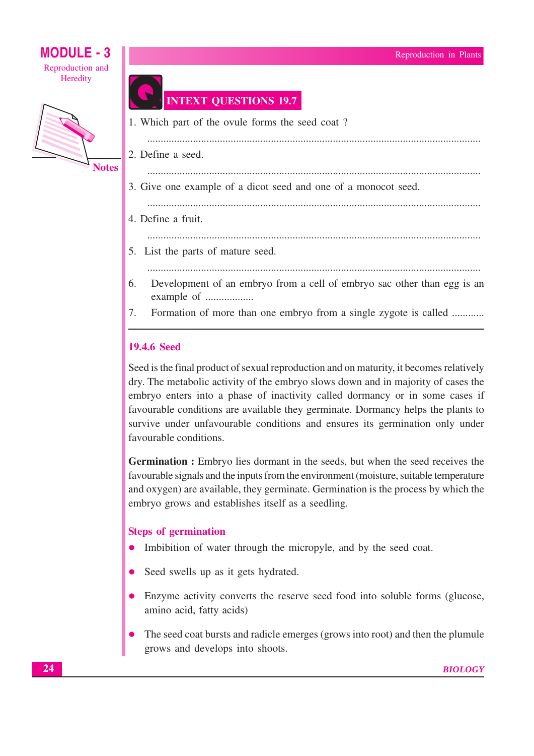

## **INTEXT QUESTIONS 19.7**

- 1. Which part of the ovule forms the seed coat? 2. Define a seed. 3. Give one example of a dicot seed and one of a monocot seed. 4. Define a fruit. 5. List the parts of mature seed. 6. Development of an embryo from a cell of embryo sac other than egg is an example of ..................
- Formation of more than one embryo from a single zygote is called ........... 7.

## **19.4.6 Seed**

Seed is the final product of sexual reproduction and on maturity, it becomes relatively dry. The metabolic activity of the embryo slows down and in majority of cases the embryo enters into a phase of inactivity called dormancy or in some cases if favourable conditions are available they germinate. Dormancy helps the plants to survive under unfavourable conditions and ensures its germination only under favourable conditions.

Germination : Embryo lies dormant in the seeds, but when the seed receives the favourable signals and the inputs from the environment (moisture, suitable temperature and oxygen) are available, they germinate. Germination is the process by which the embryo grows and establishes itself as a seedling.

## **Steps of germination**

- Imbibition of water through the micropyle, and by the seed coat.
- Seed swells up as it gets hydrated.
- Enzyme activity converts the reserve seed food into soluble forms (glucose, amino acid, fatty acids)
- The seed coat bursts and radicle emerges (grows into root) and then the plumule grows and develops into shoots.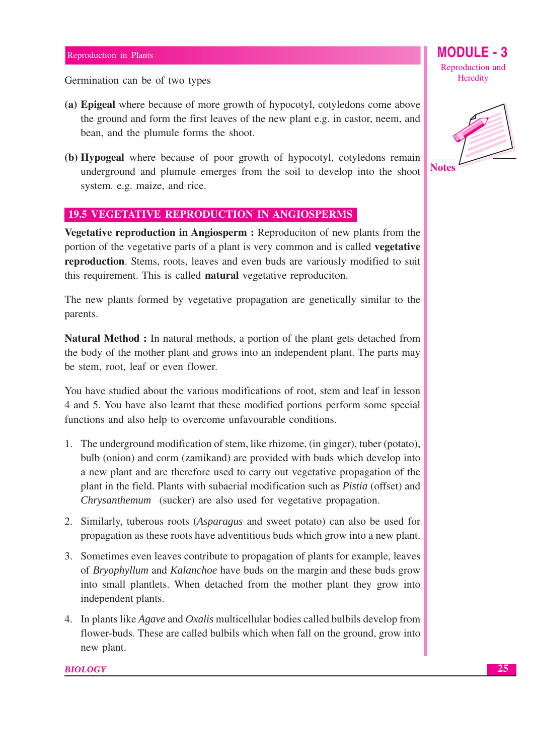Germination can be of two types

- (a) Epigeal where because of more growth of hypocotyl, cotyledons come above the ground and form the first leaves of the new plant e.g. in castor, neem, and bean, and the plumule forms the shoot.
- (b) Hypogeal where because of poor growth of hypocotyl, cotyledons remain underground and plumule emerges from the soil to develop into the shoot system. e.g. maize, and rice.

## **19.5 VEGETATIVE REPRODUCTION IN ANGIOSPERMS**

Vegetative reproduction in Angiosperm : Reproduciton of new plants from the portion of the vegetative parts of a plant is very common and is called **vegetative** reproduction. Stems, roots, leaves and even buds are variously modified to suit this requirement. This is called **natural** vegetative reproduciton.

The new plants formed by vegetative propagation are genetically similar to the parents.

Natural Method : In natural methods, a portion of the plant gets detached from the body of the mother plant and grows into an independent plant. The parts may be stem, root, leaf or even flower.

You have studied about the various modifications of root, stem and leaf in lesson 4 and 5. You have also learnt that these modified portions perform some special functions and also help to overcome unfavourable conditions.

- 1. The underground modification of stem, like rhizome, (in ginger), tuber (potato), bulb (onion) and corm (zamikand) are provided with buds which develop into a new plant and are therefore used to carry out vegetative propagation of the plant in the field. Plants with subaerial modification such as *Pistia* (offset) and Chrysanthemum (sucker) are also used for vegetative propagation.
- 2. Similarly, tuberous roots (*Asparagus* and sweet potato) can also be used for propagation as these roots have adventitious buds which grow into a new plant.
- 3. Sometimes even leaves contribute to propagation of plants for example, leaves of *Bryophyllum* and *Kalanchoe* have buds on the margin and these buds grow into small plantlets. When detached from the mother plant they grow into independent plants.
- 4. In plants like *Agave* and *Oxalis* multicellular bodies called bulbils develop from flower-buds. These are called bulbils which when fall on the ground, grow into new plant.

### **BIOLOGY**

Reproduction and Heredity

**MODULE - 3** 

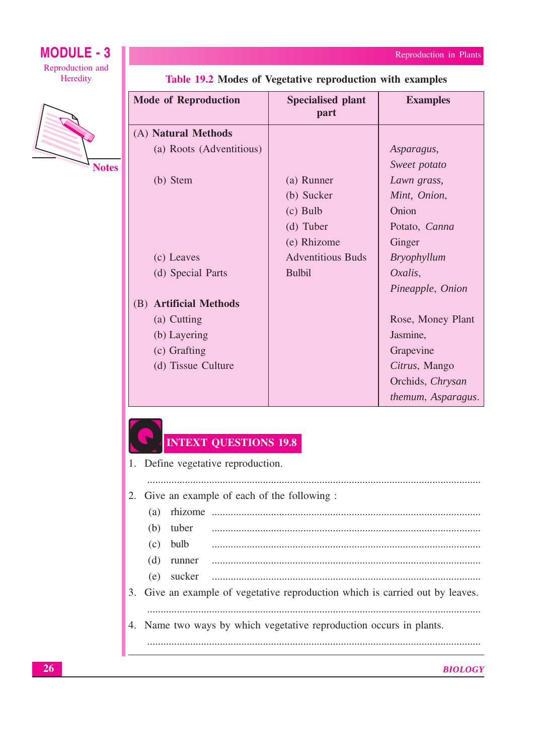themum, Asparagus.

## **MODULE - 3** Reproduction and Heredity



| <b>Mode of Reproduction</b> | <b>Specialised plant</b><br>part | <b>Examples</b>    |
|-----------------------------|----------------------------------|--------------------|
| (A) Natural Methods         |                                  |                    |
| (a) Roots (Adventitious)    |                                  | Asparagus,         |
|                             |                                  | Sweet potato       |
| (b) Stem                    | (a) Runner                       | Lawn grass,        |
|                             | (b) Sucker                       | Mint, Onion,       |
|                             | $(c)$ Bulb                       | Onion              |
|                             | (d) Tuber                        | Potato, Canna      |
|                             | (e) Rhizome                      | Ginger             |
| (c) Leaves                  | <b>Adventitious Buds</b>         | <i>Bryophyllum</i> |
| (d) Special Parts           | <b>Bulbil</b>                    | Oxalis,            |
|                             |                                  | Pineapple, Onion   |
| (B) Artificial Methods      |                                  |                    |
| (a) Cutting                 |                                  | Rose, Money Plant  |
| (b) Layering                |                                  | Jasmine,           |
| (c) Grafting                |                                  | Grapevine          |
| (d) Tissue Culture          |                                  | Citrus, Mango      |
|                             |                                  | Orchids, Chrysan   |

## Table 19.2 Modes of Vegetative reproduction with examples

## **INTEXT QUESTIONS 19.8**

| 1. Define vegetative reproduction.           |  |                                                                               |  |
|----------------------------------------------|--|-------------------------------------------------------------------------------|--|
|                                              |  |                                                                               |  |
| 2. Give an example of each of the following: |  |                                                                               |  |
| (a)                                          |  |                                                                               |  |
|                                              |  |                                                                               |  |
|                                              |  |                                                                               |  |
|                                              |  |                                                                               |  |
|                                              |  |                                                                               |  |
|                                              |  | 3. Give an example of vegetative reproduction which is carried out by leaves. |  |
|                                              |  |                                                                               |  |
|                                              |  | 4. Name two ways by which vegetative reproduction occurs in plants.           |  |
|                                              |  |                                                                               |  |
|                                              |  |                                                                               |  |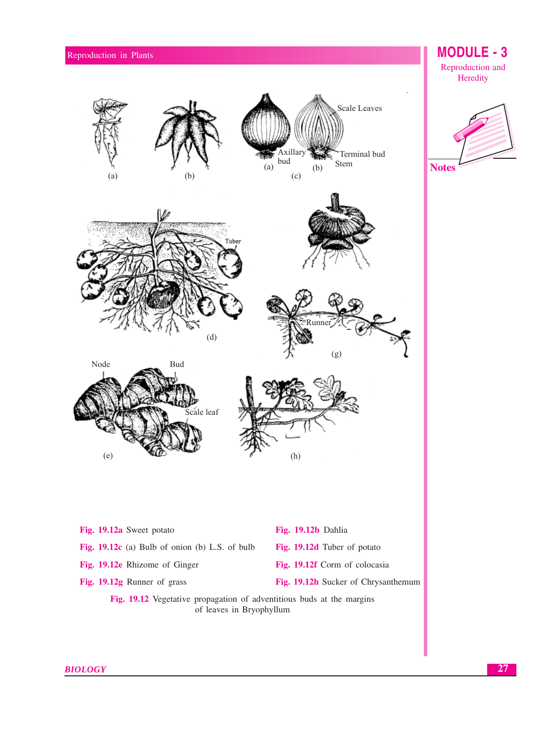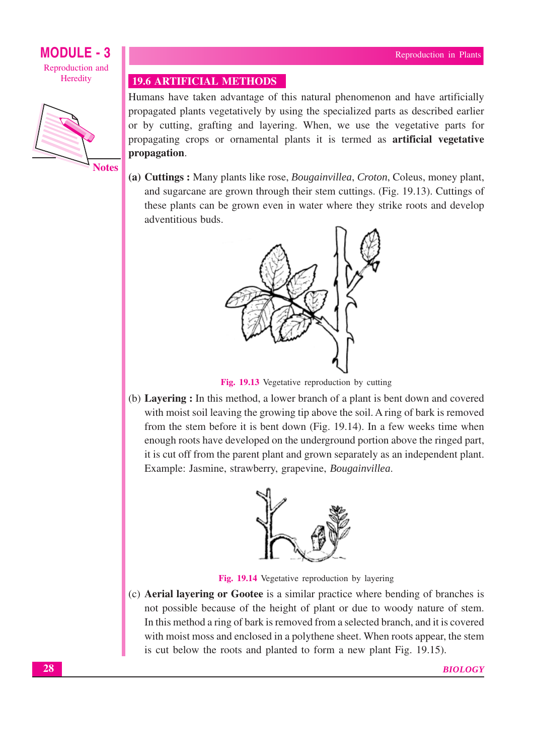

**Notes** 

## **19.6 ARTIFICIAL METHODS**

Humans have taken advantage of this natural phenomenon and have artificially propagated plants vegetatively by using the specialized parts as described earlier or by cutting, grafting and layering. When, we use the vegetative parts for propagating crops or ornamental plants it is termed as **artificial vegetative** propagation.

(a) Cuttings: Many plants like rose, *Bougainvillea*, *Croton*, Coleus, money plant, and sugarcane are grown through their stem cuttings. (Fig. 19.13). Cuttings of these plants can be grown even in water where they strike roots and develop adventitious buds.



Fig. 19.13 Vegetative reproduction by cutting

(b) **Lavering**: In this method, a lower branch of a plant is bent down and covered with moist soil leaving the growing tip above the soil. A ring of bark is removed from the stem before it is bent down (Fig. 19.14). In a few weeks time when enough roots have developed on the underground portion above the ringed part, it is cut off from the parent plant and grown separately as an independent plant. Example: Jasmine, strawberry, grapevine, Bougainvillea.



Fig. 19.14 Vegetative reproduction by layering

(c) **Aerial layering or Gootee** is a similar practice where bending of branches is not possible because of the height of plant or due to woody nature of stem. In this method a ring of bark is removed from a selected branch, and it is covered with moist moss and enclosed in a polythene sheet. When roots appear, the stem is cut below the roots and planted to form a new plant Fig. 19.15).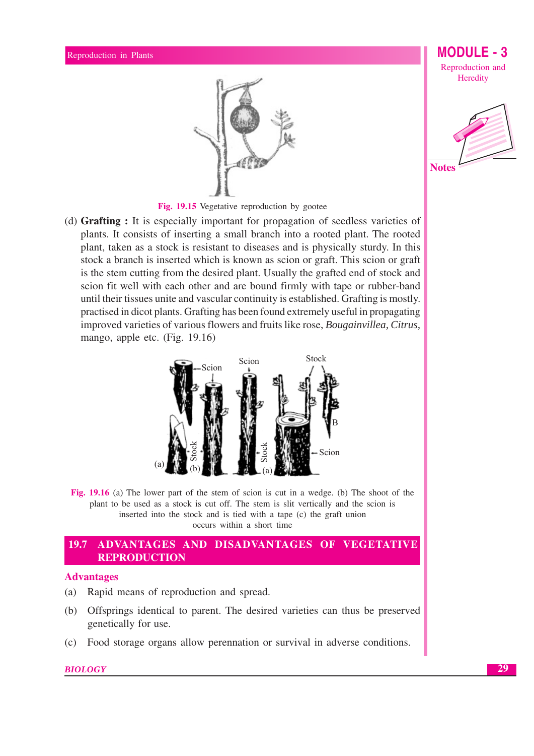

**MODULE - 3** Reproduction and

Heredity



Fig. 19.15 Vegetative reproduction by gootee

(d) Grafting : It is especially important for propagation of seedless varieties of plants. It consists of inserting a small branch into a rooted plant. The rooted plant, taken as a stock is resistant to diseases and is physically sturdy. In this stock a branch is inserted which is known as scion or graft. This scion or graft is the stem cutting from the desired plant. Usually the grafted end of stock and scion fit well with each other and are bound firmly with tape or rubber-band until their tissues unite and vascular continuity is established. Grafting is mostly. practised in dicot plants. Grafting has been found extremely useful in propagating improved varieties of various flowers and fruits like rose, Bougainvillea, Citrus, mango, apple etc. (Fig. 19.16)



Fig. 19.16 (a) The lower part of the stem of scion is cut in a wedge. (b) The shoot of the plant to be used as a stock is cut off. The stem is slit vertically and the scion is inserted into the stock and is tied with a tape (c) the graft union occurs within a short time

#### 19.7 ADVANTAGES AND DISADVANTAGES OF VEGETATIVE **REPRODUCTION**

## **Advantages**

- $(a)$ Rapid means of reproduction and spread.
- (b) Offsprings identical to parent. The desired varieties can thus be preserved genetically for use.
- Food storage organs allow perennation or survival in adverse conditions.  $(c)$

## **BIOLOGY**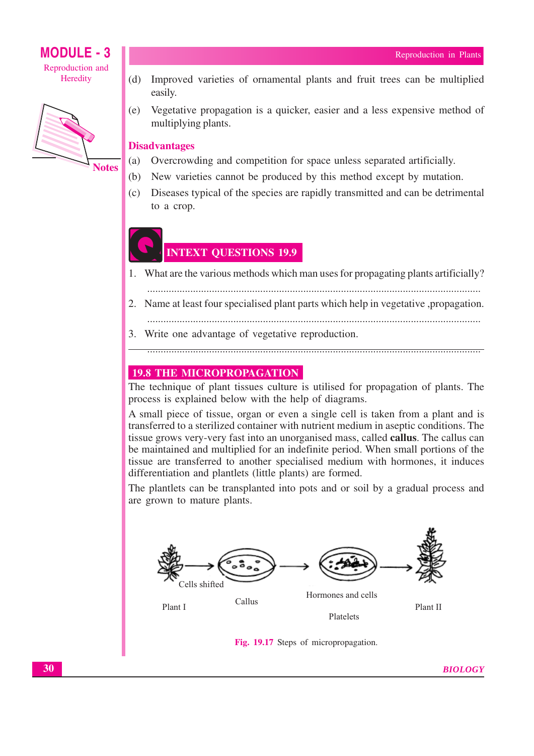## **MODULE - 3** Reproduction and





- Improved varieties of ornamental plants and fruit trees can be multiplied  $(b)$ easily.
- (e) Vegetative propagation is a quicker, easier and a less expensive method of multiplying plants.

## **Disadvantages**

- $(a)$ Overcrowding and competition for space unless separated artificially.
- $(b)$ New varieties cannot be produced by this method except by mutation.
- (c) Diseases typical of the species are rapidly transmitted and can be detrimental to a crop.

## **INTEXT QUESTIONS 19.9**

- What are the various methods which man uses for propagating plants artificially?  $1<sup>1</sup>$
- 
- 2. Name at least four specialised plant parts which help in vegetative , propagation.
- 3. Write one advantage of vegetative reproduction.

## 

## **19.8 THE MICROPROPAGATION**

The technique of plant tissues culture is utilised for propagation of plants. The process is explained below with the help of diagrams.

A small piece of tissue, organ or even a single cell is taken from a plant and is transferred to a sterilized container with nutrient medium in a septic conditions. The tissue grows very-very fast into an unorganised mass, called **callus**. The callus can be maintained and multiplied for an indefinite period. When small portions of the tissue are transferred to another specialised medium with hormones, it induces differentiation and plantlets (little plants) are formed.

The plantlets can be transplanted into pots and or soil by a gradual process and are grown to mature plants.



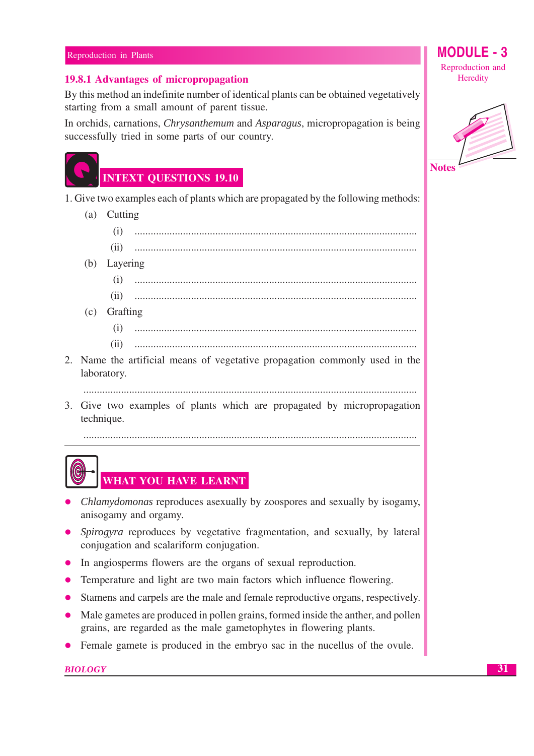## 19.8.1 Advantages of micropropagation

By this method an indefinite number of identical plants can be obtained vegetatively starting from a small amount of parent tissue.

In orchids, carnations, *Chrysanthemum* and *Asparagus*, micropropagation is being successfully tried in some parts of our country.



## **INTEXT QUESTIONS 19.10**

1. Give two examples each of plants which are propagated by the following methods:

(a) Cutting  $(i)$  $(ii)$ (b) Layering  $(c)$  Grafting  $(i)$  $(ii)$ 2. Name the artificial means of vegetative propagation commonly used in the laboratory. 3. Give two examples of plants which are propagated by micropropagation technique. 



## **WHAT YOU HAVE LEARNT**

- *Chlamydomonas* reproduces asexually by zoospores and sexually by isogamy, anisogamy and orgamy.
- Spirogyra reproduces by vegetative fragmentation, and sexually, by lateral conjugation and scalariform conjugation.
- In angiosperms flowers are the organs of sexual reproduction.
- Temperature and light are two main factors which influence flowering.
- Stamens and carpels are the male and female reproductive organs, respectively.
- Male gametes are produced in pollen grains, formed inside the anther, and pollen grains, are regarded as the male gametophytes in flowering plants.
- Female gamete is produced in the embryo sac in the nucellus of the ovule.

**BIOLOGY** 

MODU Reproduction and Heredity

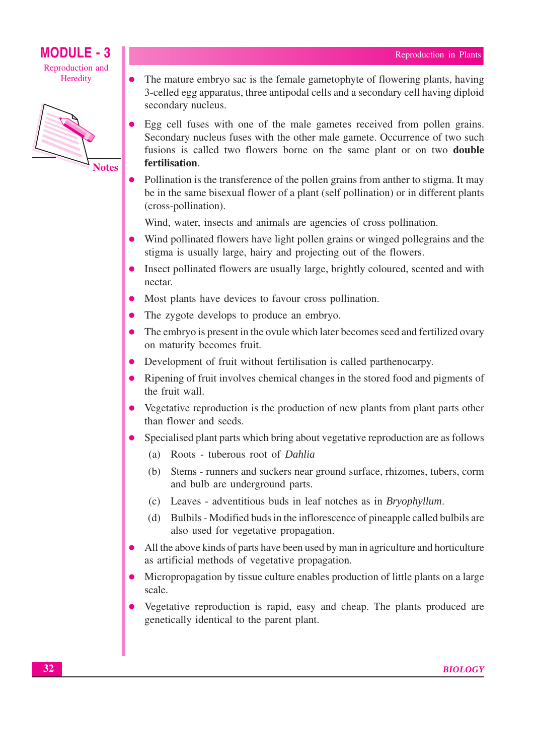## **MODULE - 3** Reproduction and

Heredity

 $\bullet$ 



- The mature embryo sac is the female gametophyte of flowering plants, having 3-celled egg apparatus, three antipodal cells and a secondary cell having diploid secondary nucleus.
- Egg cell fuses with one of the male gametes received from pollen grains. Secondary nucleus fuses with the other male gamete. Occurrence of two such fusions is called two flowers borne on the same plant or on two **double** fertilisation.
- Pollination is the transference of the pollen grains from anther to stigma. It may be in the same bisexual flower of a plant (self pollination) or in different plants (cross-pollination).

Wind, water, insects and animals are agencies of cross pollination.

- Wind pollinated flowers have light pollen grains or winged pollegrains and the stigma is usually large, hairy and projecting out of the flowers.
- Insect pollinated flowers are usually large, brightly coloured, scented and with nectar.
- Most plants have devices to favour cross pollination.
- The zygote develops to produce an embryo.
- The embryo is present in the ovule which later becomes seed and fertilized ovary on maturity becomes fruit.
- Development of fruit without fertilisation is called parthenocarpy.
- Ripening of fruit involves chemical changes in the stored food and pigments of the fruit wall.
- Vegetative reproduction is the production of new plants from plant parts other than flower and seeds.
- Specialised plant parts which bring about vegetative reproduction are as follows
	- (a) Roots tuberous root of Dahlia
	- (b) Stems runners and suckers near ground surface, rhizomes, tubers, corm and bulb are underground parts.
	- (c) Leaves adventitious buds in leaf notches as in *Bryophyllum*.
	- (d) Bulbils Modified buds in the inflorescence of pineapple called bulbils are also used for vegetative propagation.
- All the above kinds of parts have been used by man in agriculture and horticulture as artificial methods of vegetative propagation.
- Micropropagation by tissue culture enables production of little plants on a large scale.
- Vegetative reproduction is rapid, easy and cheap. The plants produced are genetically identical to the parent plant.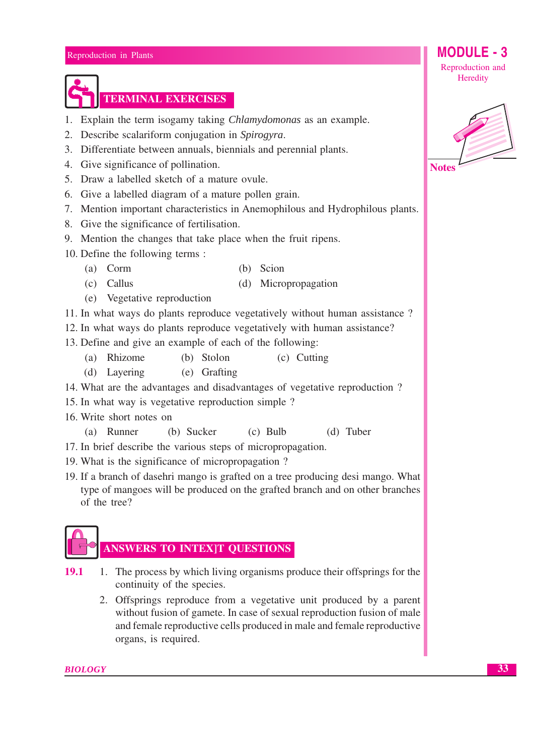- 1. Explain the term isogamy taking *Chlamydomonas* as an example.
- 2. Describe scalariform conjugation in Spirogyra.

**TERMINAL EXERCISES** 

- 3. Differentiate between annuals, biennials and perennial plants.
- 4. Give significance of pollination.
- 5. Draw a labelled sketch of a mature ovule.
- 6. Give a labelled diagram of a mature pollen grain.
- 7. Mention important characteristics in Anemophilous and Hydrophilous plants.
- 8. Give the significance of fertilisation.
- 9. Mention the changes that take place when the fruit ripens.
- 10. Define the following terms:
	- $(a)$  Corm (b) Scion
	- $(c)$  Callus (d) Micropropagation
	- (e) Vegetative reproduction
- 11. In what ways do plants reproduce vegetatively without human assistance?

12. In what ways do plants reproduce vegetatively with human assistance?

- 13. Define and give an example of each of the following:
	- (a) Rhizome (b) Stolon (c) Cutting
	- (d) Lavering (e) Grafting
- 14. What are the advantages and disadvantages of vegetative reproduction?
- 15. In what way is vegetative reproduction simple ?
- 16. Write short notes on
	- $(a)$  Runner (b) Sucker  $(c)$  Bulb  $(d)$  Tuber
- 17. In brief describe the various steps of micropropagation.
- 19. What is the significance of micropropagation?
- 19. If a branch of dasehri mango is grafted on a tree producing desi mango. What type of mangoes will be produced on the grafted branch and on other branches of the tree?

# **ANSWERS TO INTEX]T QUESTIONS**

- 1. The process by which living organisms produce their offsprings for the 19.1 continuity of the species.
	- 2. Offsprings reproduce from a vegetative unit produced by a parent without fusion of gamete. In case of sexual reproduction fusion of male and female reproductive cells produced in male and female reproductive organs, is required.



**MODULE - 3** 

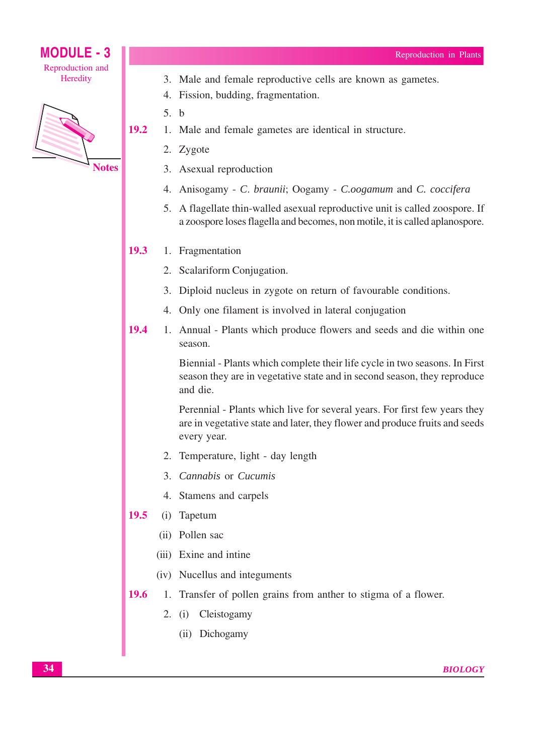

3. Male and female reproductive cells are known as gametes.

- 4. Fission, budding, fragmentation.
- $5. b$

19.2

- 1. Male and female gametes are identical in structure.
	- 2. Zygote
	- 3. Asexual reproduction
	- 4. Anisogamy C. braunii; Oogamy C.oogamum and C. coccifera
	- 5. A flagellate thin-walled as exual reproductive unit is called zoospore. If a zoospore loses flagella and becomes, non motile, it is called aplanospore.

#### 19.3 1. Fragmentation

- 2. Scalariform Conjugation.
- 3. Diploid nucleus in zygote on return of favourable conditions.
- 4. Only one filament is involved in lateral conjugation
- 19.4 1. Annual - Plants which produce flowers and seeds and die within one season.

Biennial - Plants which complete their life cycle in two seasons. In First season they are in vegetative state and in second season, they reproduce and die.

Perennial - Plants which live for several years. For first few years they are in vegetative state and later, they flower and produce fruits and seeds every year.

- 2. Temperature, light day length
- 3. Cannabis or Cucumis
- 4. Stamens and carpels
- 19.5 (i) Tapetum
	- (ii) Pollen sac
	- (iii) Exine and intine
	- (iv) Nucellus and integuments
- 19.6 1. Transfer of pollen grains from anther to stigma of a flower.
	- 2. (i) Cleistogamy
		- (ii) Dichogamy